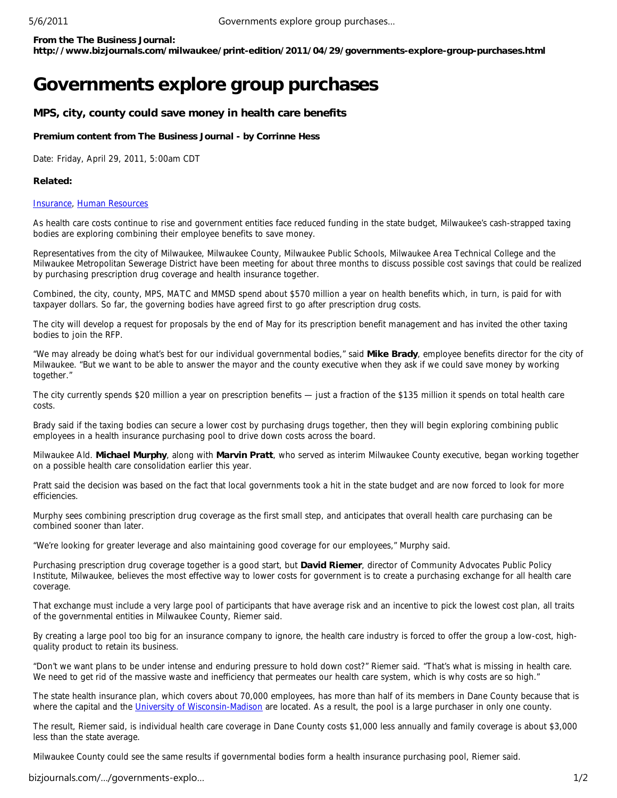**From the The Business Journal:**

**http://www.bizjournals.com/milwaukee/print-edition/2011/04/29/governments-explore-group-purchases.html**

# **Governments explore group purchases**

## **MPS, city, county could save money in health care benefits**

#### **Premium content from The Business Journal - by Corrinne Hess**

Date: Friday, April 29, 2011, 5:00am CDT

### **Related:**

#### Insurance, Human Resources

As health care costs continue to rise and government entities face reduced funding in the state budget, Milwaukee's cash-strapped taxing bodies are exploring combining their employee benefits to save money.

Representatives from the city of Milwaukee, Milwaukee County, Milwaukee Public Schools, Milwaukee Area Technical College and the Milwaukee Metropolitan Sewerage District have been meeting for about three months to discuss possible cost savings that could be realized by purchasing prescription drug coverage and health insurance together.

Combined, the city, county, MPS, MATC and MMSD spend about \$570 million a year on health benefits which, in turn, is paid for with taxpayer dollars. So far, the governing bodies have agreed first to go after prescription drug costs.

The city will develop a request for proposals by the end of May for its prescription benefit management and has invited the other taxing bodies to join the RFP.

"We may already be doing what's best for our individual governmental bodies," said **Mike Brady**, employee benefits director for the city of Milwaukee. "But we want to be able to answer the mayor and the county executive when they ask if we could save money by working together."

The city currently spends \$20 million a year on prescription benefits — just a fraction of the \$135 million it spends on total health care costs.

Brady said if the taxing bodies can secure a lower cost by purchasing drugs together, then they will begin exploring combining public employees in a health insurance purchasing pool to drive down costs across the board.

Milwaukee Ald. **Michael Murphy**, along with **Marvin Pratt**, who served as interim Milwaukee County executive, began working together on a possible health care consolidation earlier this year.

Pratt said the decision was based on the fact that local governments took a hit in the state budget and are now forced to look for more efficiencies.

Murphy sees combining prescription drug coverage as the first small step, and anticipates that overall health care purchasing can be combined sooner than later.

"We're looking for greater leverage and also maintaining good coverage for our employees," Murphy said.

Purchasing prescription drug coverage together is a good start, but **David Riemer**, director of Community Advocates Public Policy Institute, Milwaukee, believes the most effective way to lower costs for government is to create a purchasing exchange for all health care coverage.

That exchange must include a very large pool of participants that have average risk and an incentive to pick the lowest cost plan, all traits of the governmental entities in Milwaukee County, Riemer said.

By creating a large pool too big for an insurance company to ignore, the health care industry is forced to offer the group a low-cost, highquality product to retain its business.

"Don't we want plans to be under intense and enduring pressure to hold down cost?" Riemer said. "That's what is missing in health care. We need to get rid of the massive waste and inefficiency that permeates our health care system, which is why costs are so high."

The state health insurance plan, which covers about 70,000 employees, has more than half of its members in Dane County because that is where the capital and the University of Wisconsin-Madison are located. As a result, the pool is a large purchaser in only one county.

The result, Riemer said, is individual health care coverage in Dane County costs \$1,000 less annually and family coverage is about \$3,000 less than the state average.

Milwaukee County could see the same results if governmental bodies form a health insurance purchasing pool, Riemer said.

bizjournals.com/…/governments-explo… 1/2